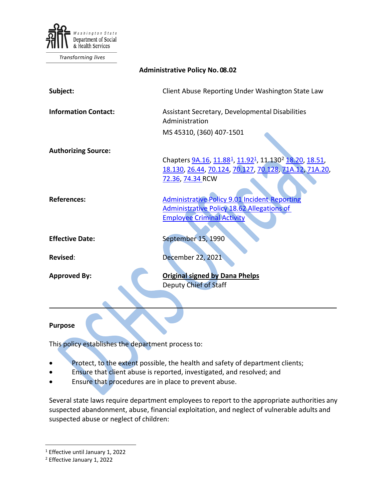

Transforming lives

| <b>Administrative Policy No. 08.02</b> |                                                                                                                                                                           |
|----------------------------------------|---------------------------------------------------------------------------------------------------------------------------------------------------------------------------|
| Subject:                               | Client Abuse Reporting Under Washington State Law                                                                                                                         |
| <b>Information Contact:</b>            | Assistant Secretary, Developmental Disabilities<br>Administration                                                                                                         |
|                                        | MS 45310, (360) 407-1501                                                                                                                                                  |
| <b>Authorizing Source:</b>             |                                                                                                                                                                           |
|                                        | Chapters 9A.16, 11.88 <sup>1</sup> , 11.92 <sup>1</sup> , 11.130 <sup>2</sup> 18.20, 18.51,<br>18.130, 26.44, 70.124, 70.127, 70.128, 71A.12, 71A.20,<br>72.36, 74.34 RCW |
| <b>References:</b>                     | <b>Administrative Policy 9.01 Incident Reporting</b><br><b>Administrative Policy 18.62 Allegations of</b><br><b>Employee Criminal Activity</b>                            |
| <b>Effective Date:</b>                 | September 15, 1990                                                                                                                                                        |
| <b>Revised:</b>                        | December 22, 2021                                                                                                                                                         |
| <b>Approved By:</b>                    | <b>Original signed by Dana Phelps</b><br>Deputy Chief of Staff                                                                                                            |
|                                        |                                                                                                                                                                           |

#### **Purpose**

This policy establishes the department process to:

- Protect, to the extent possible, the health and safety of department clients;
- Ensure that client abuse is reported, investigated, and resolved; and
- Ensure that procedures are in place to prevent abuse.

Several state laws require department employees to report to the appropriate authorities any suspected abandonment, abuse, financial exploitation, and neglect of vulnerable adults and suspected abuse or neglect of children:

<span id="page-0-0"></span> <sup>1</sup> Effective until January 1, 2022

<span id="page-0-1"></span><sup>2</sup> Effective January 1, 2022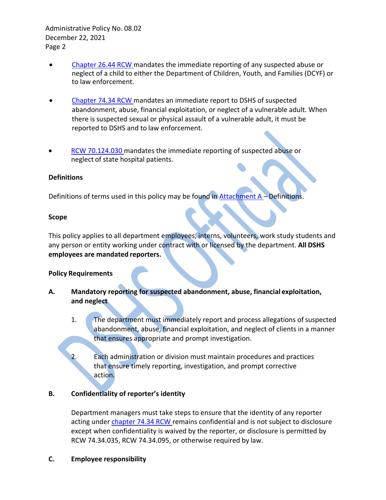- [Chapter 26.44 RCW m](http://apps.leg.wa.gov/RCW/default.aspx?cite=26.44)andates the immediate reporting of any suspected abuse or neglect of a child to either the Department of Children, Youth, and Families (DCYF) or to law enforcement.
- [Chapter 74.34 RCW m](http://apps.leg.wa.gov/RCW/default.aspx?cite=74.34)andates an immediate report to DSHS of suspected abandonment, abuse, financial exploitation, or neglect of a vulnerable adult. When there is suspected sexual or physical assault of a vulnerable adult, it must be reported to DSHS and to law enforcement.
- [RCW 70.124.030 m](http://apps.leg.wa.gov/RCW/default.aspx?cite=70.124.030)andates the immediate reporting of suspected abuse or neglect of state hospital patients.

### **Definitions**

Definitions of terms used in this policy may be found in  $Attention$   $A - Definitions$ .

### **Scope**

This policy applies to all department employees, interns, volunteers, work study students and any person or entity working under contract with or licensed by the department. **All DSHS employees are mandated reporters.**

### **Policy Requirements**

- **A. Mandatory reporting for suspected abandonment, abuse, financial exploitation, and neglect**
	- 1. The department must immediately report and process allegations of suspected abandonment, abuse, financial exploitation, and neglect of clients in a manner that ensures appropriate and prompt investigation.
		- Each administration or division must maintain procedures and practices that ensure timely reporting, investigation, and prompt corrective action.

# **B. Confidentiality of reporter's identity**

Department managers must take steps to ensure that the identity of any reporter acting under [chapter 74.34 RCW r](http://app.leg.wa.gov/RCW/default.aspx?cite=74.34)emains confidential and is not subject to disclosure except when confidentiality is waived by the reporter, or disclosure is permitted by RCW 74.34.035, RCW 74.34.095, or otherwise required by law.

**C. Employee responsibility**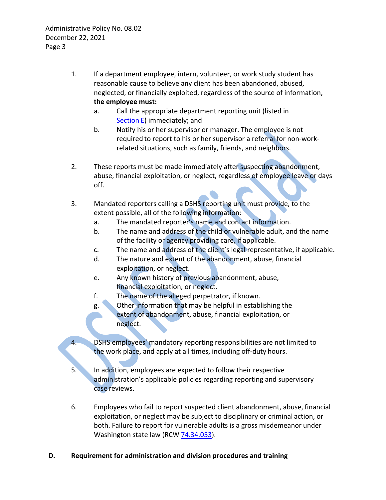- 1. If a department employee, intern, volunteer, or work study student has reasonable cause to believe any client has been abandoned, abused, neglected, or financially exploited, regardless of the source of information, **the employee must:**
	- a. Call the appropriate department reporting unit (listed in [Section](#page-3-0) E) immediately; and
	- b. Notify his or her supervisor or manager. The employee is not required to report to his or her supervisor a referral for non-workrelated situations, such as family, friends, and neighbors.
- 2. These reports must be made immediately after suspecting abandonment, abuse, financial exploitation, or neglect, regardless of employee leave or days off.
- 3. Mandated reporters calling a DSHS reporting unit must provide, to the extent possible, all of the following information:
	- a. The mandated reporter's name and contact information.
	- b. The name and address of the child or vulnerable adult, and the name of the facility or agency providing care, if applicable.
	- c. The name and address of the client's legal representative, if applicable.
	- d. The nature and extent of the abandonment, abuse, financial exploitation, or neglect.
	- e. Any known history of previous abandonment, abuse, financial exploitation, or neglect.
	- f. The name of the alleged perpetrator, if known.
	- g. Other information that may be helpful in establishing the extent of abandonment, abuse, financial exploitation, or neglect.
- 4. DSHS employees' mandatory reporting responsibilities are not limited to the work place, and apply at all times, including off-duty hours.
- 5. In addition, employees are expected to follow their respective administration's applicable policies regarding reporting and supervisory case reviews.
- 6. Employees who fail to report suspected client abandonment, abuse, financial exploitation, or neglect may be subject to disciplinary or criminal action, or both. Failure to report for vulnerable adults is a gross misdemeanor under Washington state law (RCW [74.34.053\)](http://apps.leg.wa.gov/rcw/default.aspx?cite=74.34.053).

# **D. Requirement for administration and division procedures and training**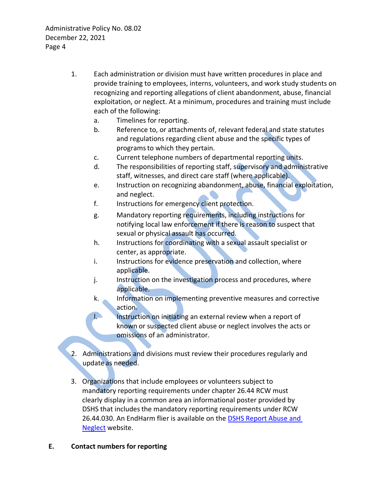- 1. Each administration or division must have written procedures in place and provide training to employees, interns, volunteers, and work study students on recognizing and reporting allegations of client abandonment, abuse, financial exploitation, or neglect. At a minimum, procedures and training must include each of the following:
	- a. Timelines for reporting.
	- b. Reference to, or attachments of, relevant federal and state statutes and regulations regarding client abuse and the specific types of programsto which they pertain.
	- c. Current telephone numbers of departmental reporting units.
	- d. The responsibilities of reporting staff, supervisory and administrative staff, witnesses, and direct care staff (where applicable).
	- e. Instruction on recognizing abandonment, abuse, financial exploitation, and neglect.
	- f. Instructions for emergency client protection.
	- g. Mandatory reporting requirements, including instructions for notifying local law enforcement if there is reason to suspect that sexual or physical assault has occurred.
	- h. Instructions for coordinating with a sexual assault specialist or center, as appropriate.
	- i. Instructions for evidence preservation and collection, where applicable.
	- j. Instruction on the investigation process and procedures, where applicable.
	- k. Information on implementing preventive measures and corrective action.
	- I. Instruction on initiating an external review when a report of known or suspected client abuse or neglect involves the acts or omissions of an administrator.
- 2. Administrations and divisions must review their procedures regularly and update as needed.
- 3. Organizations that include employees or volunteers subject to mandatory reporting requirements under chapter 26.44 RCW must clearly display in a common area an informational poster provided by DSHS that includes the mandatory reporting requirements under RCW 26.44.030. An EndHarm flier is available on the DSHS Report Abuse and [Neglect](https://www.dshs.wa.gov/report-abuse-and-neglect) website.

# <span id="page-3-0"></span>**E. Contact numbers for reporting**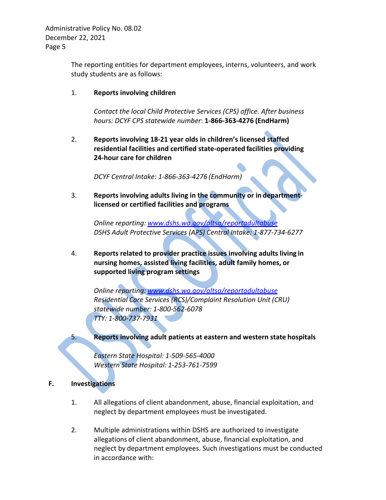> The reporting entities for department employees, interns, volunteers, and work study students are as follows:

### 1. **Reports involving children**

*Contact the local Child Protective Services (CPS) office. After business hours: DCYF CPS statewide number*: **1-866-363-4276 (EndHarm)**

2. **Reports involving 18-21 year olds in children's licensed staffed residential facilities and certified state-operated facilities providing 24-hour care for children**

*DCYF Central Intake: 1-866-363-4276 (EndHarm)*

3. **Reports involving adults living in the community or in departmentlicensed or certified facilities and programs**

*Online reporting: [www.dshs.wa.gov/altsa/reportadultabuse](http://www.dshs.wa.gov/altsa/reportadultabuse) DSHS Adult Protective Services (APS) Central Intake: 1-877-734-6277*

4. **Reports related to provider practice issues involving adults living in nursing homes, assisted living facilities, adult family homes, or supported living program settings**

*Online reporting: [www.dshs.wa.gov/altsa/reportadultabuse](http://www.dshs.wa.gov/altsa/reportadultabuse) Residential Care Services (RCS)/Complaint Resolution Unit (CRU) statewide number: 1-800-562-6078 TTY: 1-800-737-7931*

5. **Reports involving adult patients at eastern and western state hospitals**

*Eastern State Hospital: 1-509-565-4000 Western State Hospital: 1-253-761-7599*

### **F. Investigations**

- 1. All allegations of client abandonment, abuse, financial exploitation, and neglect by department employees must be investigated.
- 2. Multiple administrations within DSHS are authorized to investigate allegations of client abandonment, abuse, financial exploitation, and neglect by department employees. Such investigations must be conducted in accordance with: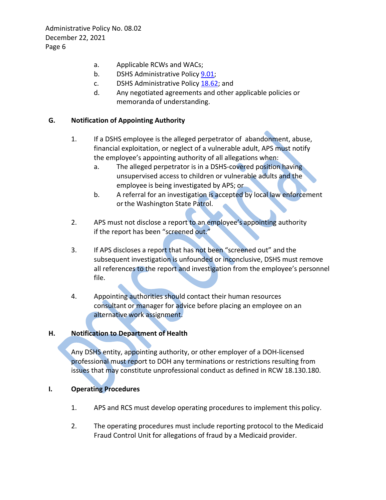- a. Applicable RCWs and WACs;
- b. DSHS Administrative Policy [9.01;](http://one.dshs.wa.lcl/Policies/Administrative/DSHS-AP-09-01.pdf)
- c. DSHS Administrative Policy [18.62;](http://one.dshs.wa.lcl/Policies/Administrative/DSHS-AP-18-62.pdf) and
- d. Any negotiated agreements and other applicable policies or memoranda of understanding.

### **G. Notification of Appointing Authority**

- 1. If a DSHS employee is the alleged perpetrator of abandonment, abuse, financial exploitation, or neglect of a vulnerable adult, APS must notify the employee's appointing authority of all allegations when:
	- a. The alleged perpetrator is in a DSHS-covered position having unsupervised access to children or vulnerable adults and the employee is being investigated by APS; or
	- b. A referral for an investigation is accepted by local law enforcement or the Washington State Patrol.
- 2. APS must not disclose a report to an employee's appointing authority if the report has been "screened out."
- 3. If APS discloses a report that has not been "screened out" and the subsequent investigation is unfounded or inconclusive, DSHS must remove all references to the report and investigation from the employee's personnel file.
- 4. Appointing authorities should contact their human resources consultant or manager for advice before placing an employee on an alternative work assignment.

# **H. Notification to Department of Health**

Any DSHS entity, appointing authority, or other employer of a DOH-licensed professional must report to DOH any terminations or restrictions resulting from issues that may constitute unprofessional conduct as defined in RCW 18.130.180.

### **I. Operating Procedures**

- 1. APS and RCS must develop operating procedures to implement this policy.
- 2. The operating procedures must include reporting protocol to the Medicaid Fraud Control Unit for allegations of fraud by a Medicaid provider.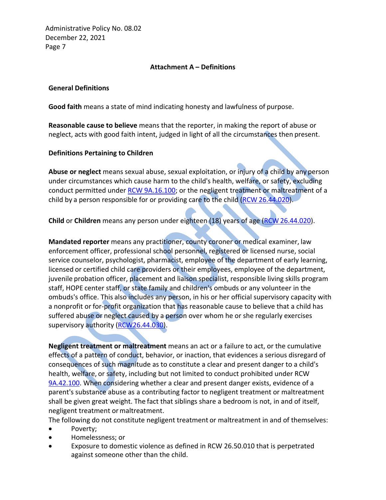### **Attachment A – Definitions**

### <span id="page-6-0"></span>**General Definitions**

**Good faith** means a state of mind indicating honesty and lawfulness of purpose.

**Reasonable cause to believe** means that the reporter, in making the report of abuse or neglect, acts with good faith intent, judged in light of all the circumstances then present.

### **Definitions Pertaining to Children**

**Abuse or neglect** means sexual abuse, sexual exploitation, or injury of a child by any person under circumstances which cause harm to the child's health, welfare, or safety, excluding conduct permitted under [RCW 9A.16.100;](http://app.leg.wa.gov/RCW/default.aspx?cite=9A.16.100) or the negligent treatment or maltreatment of a child by a person responsible for or providing care to the child (RCW [26.44.020\)](http://app.leg.wa.gov/RCW/default.aspx?cite=26.44.020).

**Child** or **Children** means any person under eighteen (18) years of age (RCW [26.44.020\)](http://app.leg.wa.gov/RCW/default.aspx?cite=26.44.020).

**Mandated reporter** means any practitioner, county coroner or medical examiner, law enforcement officer, professional school personnel, registered or licensed nurse, social service counselor, psychologist, pharmacist, employee of the department of early learning, licensed or certified child care providers or their employees, employee of the department, juvenile probation officer, placement and liaison specialist, responsible living skills program staff, HOPE center staff, or state family and children's ombuds or any volunteer in the ombuds's office. This also includes any person, in his or her official supervisory capacity with a nonprofit or for-profit organization that has reasonable cause to believe that a child has suffered abuse or neglect caused by a person over whom he or she regularly exercises supervisory authority [\(RCW26.44.030\)](http://app.leg.wa.gov/RCW/default.aspx?cite=26.44.030).

**Negligent treatment or maltreatment** means an act or a failure to act, or the cumulative effects of a pattern of conduct, behavior, or inaction, that evidences a serious disregard of consequences of such magnitude as to constitute a clear and present danger to a child's health, welfare, or safety, including but not limited to conduct prohibited under RCW [9A.42.100.](http://apps.leg.wa.gov/RCW/default.aspx?cite=9A.42.100) When considering whether a clear and present danger exists, evidence of a parent's substance abuse as a contributing factor to negligent treatment or maltreatment shall be given great weight. The fact that siblings share a bedroom is not, in and of itself, negligent treatment ormaltreatment.

The following do not constitute negligent treatment or maltreatment in and of themselves:

- Poverty;
- Homelessness; or
- Exposure to domestic violence as defined in RCW [26.50.010 t](http://apps.leg.wa.gov/RCW/default.aspx?cite=26.50.010)hat is perpetrated against someone other than the child.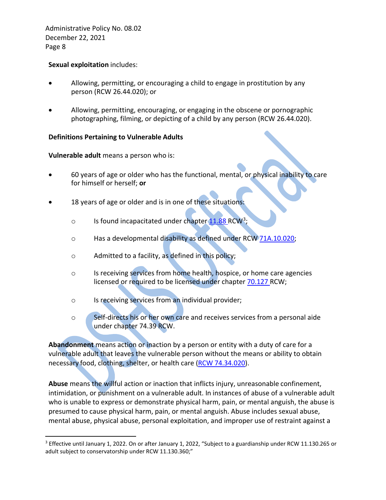#### **Sexual exploitation** includes:

- Allowing, permitting, or encouraging a child to engage in prostitution by any person [\(RCW 26.44.020\)](http://app.leg.wa.gov/RCW/default.aspx?cite=26.44.020); or
- Allowing, permitting, encouraging, or engaging in the obscene or pornographic photographing, filming, or depicting of a child by any person [\(RCW 26.44.020\)](http://app.leg.wa.gov/RCW/default.aspx?cite=26.44.020).

### **Definitions Pertaining to Vulnerable Adults**

**Vulnerable adult** means a person who is:

- 60 years of age or older who has the functional, mental, or physical inability to care for himself or herself; **or**
- 18 years of age or older and is in one of these situations:
	- o Is found incapacitated under chapter  $11.88$  RCW<sup>3</sup>;
	- o Has a developmental disability as defined under RCW [71A.10.020;](http://apps.leg.wa.gov/rcw/default.aspx?cite=71A.10.020)
	- o Admitted to a facility, as defined in this policy;
	- $\circ$  Is receiving services from home health, hospice, or home care agencies licensed or required to be licensed under chapter [70.127](http://apps.leg.wa.gov/rcw/default.aspx?cite=70.127) RCW;
	- o Is receiving services from an individual provider;
	- o Self-directs his or her own care and receives services from a personal aide under chapter 74.39 RCW.

**Abandonment** means action or inaction by a person or entity with a duty of care for a vulnerable adult that leaves the vulnerable person without the means or ability to obtain necessary food, clothing, shelter, or health care (RCW [74.34.020\)](http://app.leg.wa.gov/RCW/default.aspx?cite=74.34.020).

**Abuse** means the willful action or inaction that inflicts injury, unreasonable confinement, intimidation, or punishment on a vulnerable adult. In instances of abuse of a vulnerable adult who is unable to express or demonstrate physical harm, pain, or mental anguish, the abuse is presumed to cause physical harm, pain, or mental anguish. Abuse includes sexual abuse, mental abuse, physical abuse, personal exploitation, and improper use of restraint against a

<span id="page-7-0"></span><sup>&</sup>lt;sup>3</sup> Effective until January 1, 2022. On or after January 1, 2022, "Subject to a guardianship under RCW 11.130.265 or adult subject to conservatorship under RCW 11.130.360;"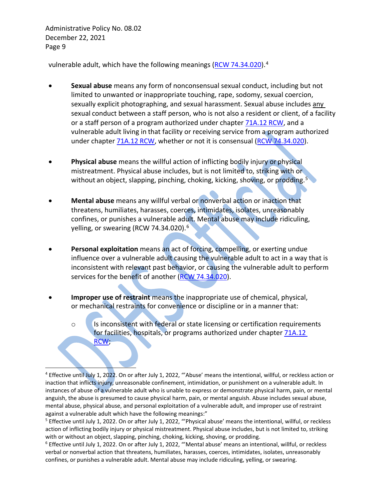vulnerable adult, which have the following meanings (RCW [74.34.020\)](http://app.leg.wa.gov/rcw/default.aspx?cite=74.34.020).[4](#page-8-0)

- **Sexual abuse** means any form of nonconsensual sexual conduct, including but not limited to unwanted or inappropriate touching, rape, sodomy, sexual coercion, sexually explicit photographing, and sexual harassment. Sexual abuse includes any sexual conduct between a staff person, who is not also a resident or client, of a facility or a staff person of a program authorized under chapter [71A.12 RCW,](http://app.leg.wa.gov/RCW/default.aspx?cite=71A.12) and a vulnerable adult living in that facility or receiving service from a program authorized under chapter [71A.12](http://app.leg.wa.gov/RCW/default.aspx?cite=71A.12) RCW, whether or not it is consensual (RCW [74.34.020\)](http://app.leg.wa.gov/RCW/default.aspx?cite=74.34.020).
- **Physical abuse** means the willful action of inflicting bodily injury or physical mistreatment. Physical abuse includes, but is not limited to, striking with or without an object, slapping, pinching, choking, kicking, shoving, or prodding.<sup>[5](#page-8-1)</sup>
- **Mental abuse** means any willful verbal or nonverbal action or inaction that threatens, humiliates, harasses, coerces, intimidates, isolates, unreasonably confines, or punishes a vulnerable adult. Mental abuse may include ridiculing, yelling, or swearing [\(RCW](http://app.leg.wa.gov/RCW/default.aspx?cite=74.34.020) [74.34.020\)](http://app.leg.wa.gov/RCW/default.aspx?cite=74.34.020).<sup>[6](#page-8-2)</sup>
- **Personal exploitation** means an act of forcing, compelling, or exerting undue influence over a vulnerable adult causing the vulnerable adult to act in a way that is inconsistent with relevant past behavior, or causing the vulnerable adult to perform services for the benefit of another (RCW [74.34.020\)](http://app.leg.wa.gov/RCW/default.aspx?cite=74.34.020).
- **Improper use of restraint** means the inappropriate use of chemical, physical, or mechanical restraints for convenience or discipline or in a manner that:
	- o Is inconsistent with federal or state licensing or certification requirements for facilities, hospitals, or programs authorized under chapter [71A.12](http://app.leg.wa.gov/RCW/default.aspx?cite=71A.12) [RCW;](http://app.leg.wa.gov/RCW/default.aspx?cite=71A.12)

<span id="page-8-1"></span><sup>5</sup> Effective until July 1, 2022. On or after July 1, 2022, "'Physical abuse' means the intentional, willful, or reckless action of inflicting bodily injury or physical mistreatment. Physical abuse includes, but is not limited to, striking with or without an object, slapping, pinching, choking, kicking, shoving, or prodding.

<span id="page-8-2"></span><sup>6</sup> Effective until July 1, 2022. On or after July 1, 2022, "'Mental abuse' means an intentional, willful, or reckless verbal or nonverbal action that threatens, humiliates, harasses, coerces, intimidates, isolates, unreasonably confines, or punishes a vulnerable adult. Mental abuse may include ridiculing, yelling, or swearing.

<span id="page-8-0"></span> <sup>4</sup> Effective until July 1, 2022. On or after July 1, 2022, "'Abuse' means the intentional, willful, or reckless action or inaction that inflicts injury, unreasonable confinement, intimidation, or punishment on a vulnerable adult. In instances of abuse of a vulnerable adult who is unable to express or demonstrate physical harm, pain, or mental anguish, the abuse is presumed to cause physical harm, pain, or mental anguish. Abuse includes sexual abuse, mental abuse, physical abuse, and personal exploitation of a vulnerable adult, and improper use of restraint against a vulnerable adult which have the following meanings:"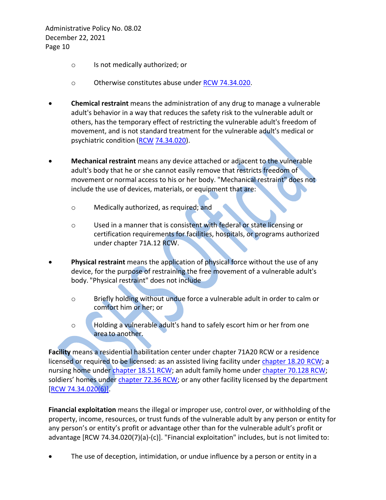- o Is not medically authorized; or
- o Otherwise constitutes abuse under RCW [74.34.020.](http://app.leg.wa.gov/RCW/default.aspx?cite=74.34.020)
- **Chemical restraint** means the administration of any drug to manage a vulnerable adult's behavior in a way that reduces the safety risk to the vulnerable adult or others, hasthe temporary effect of restricting the vulnerable adult's freedom of movement, and is not standard treatment for the vulnerable adult's medical or psychiatric condition [\(RCW](http://app.leg.wa.gov/RCW/default.aspx?cite=74.34.020) [74.34.020\)](http://app.leg.wa.gov/RCW/default.aspx?cite=74.34.020).
- **Mechanical restraint** means any device attached or adjacent to the vulnerable adult's body that he or she cannot easily remove that restricts freedom of movement or normal access to his or her body. "Mechanical restraint" does not include the use of devices, materials, or equipment that are:
	- o Medically authorized, as required; and
	- o Used in a manner that is consistent with federal or state licensing or certification requirements for facilities, hospitals, or programs authorized under chapter [71A.12](http://app.leg.wa.gov/RCW/default.aspx?cite=71A.12) RCW.
- **Physical restraint** means the application of physical force without the use of any device, for the purpose of restraining the free movement of a vulnerable adult's body. "Physical restraint" does not include
	- o Briefly holding without undue force a vulnerable adult in order to calm or comfort him or her; or
	- o Holding a vulnerable adult's hand to safely escort him or her from one area to another.

**Facility** means a residential habilitation center under chapter 71A20 RCW or a residence licensed or required to be licensed: as an assisted living facility under [chapter 18.20](http://app.leg.wa.gov/RCW/default.aspx?cite=18.20) RCW; a nursing home under [chapter 18.51 RCW;](http://app.leg.wa.gov/RCW/default.aspx?cite=18.51) an adult family home under [chapter 70.128 RCW;](http://app.leg.wa.gov/RCW/default.aspx?cite=70.128) soldiers' homes under [chapter 72.36 RCW;](http://app.leg.wa.gov/RCW/default.aspx?cite=72.36) or any other facility licensed by the department [\[RCW 74.34.020\(6\)\]](http://app.leg.wa.gov/RCW/default.aspx?cite=74.34.020).

**Financial exploitation** means the illegal or improper use, control over, or withholding of the property, income, resources, or trust funds of the vulnerable adult by any person or entity for any person's or entity's profit or advantage other than for the vulnerable adult's profit or advantage [RCW 74.34.020(7)(a)-(c)]. "Financial exploitation" includes, but is not limited to:

The use of deception, intimidation, or undue influence by a person or entity in a